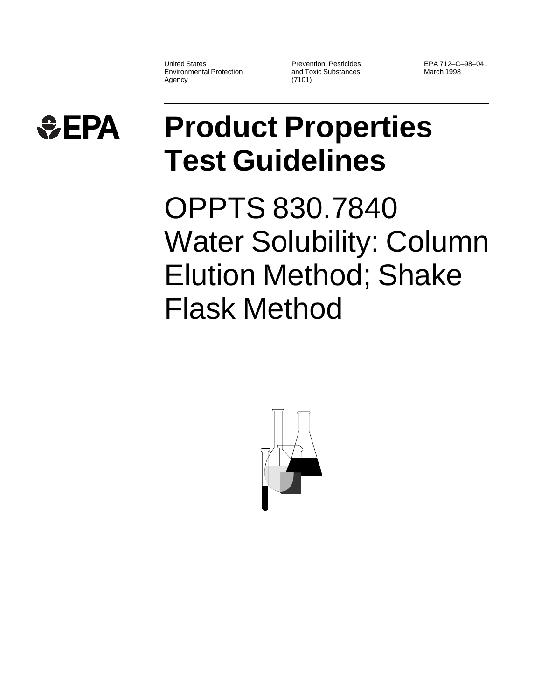United States Environmental Protection Agency

Prevention, Pesticides and Toxic Substances (7101)

EPA 712–C–98–041 March 1998



## **Product Properties Test Guidelines**

OPPTS 830.7840 Water Solubility: Column Elution Method; Shake Flask Method

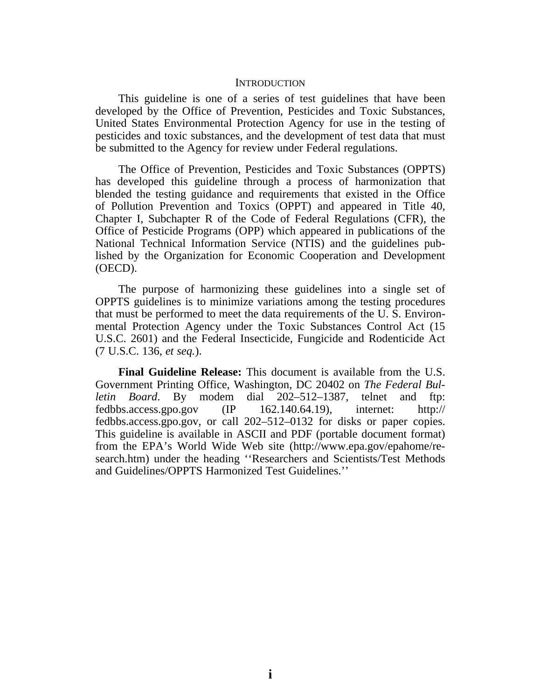## **INTRODUCTION**

This guideline is one of a series of test guidelines that have been developed by the Office of Prevention, Pesticides and Toxic Substances, United States Environmental Protection Agency for use in the testing of pesticides and toxic substances, and the development of test data that must be submitted to the Agency for review under Federal regulations.

The Office of Prevention, Pesticides and Toxic Substances (OPPTS) has developed this guideline through a process of harmonization that blended the testing guidance and requirements that existed in the Office of Pollution Prevention and Toxics (OPPT) and appeared in Title 40, Chapter I, Subchapter R of the Code of Federal Regulations (CFR), the Office of Pesticide Programs (OPP) which appeared in publications of the National Technical Information Service (NTIS) and the guidelines published by the Organization for Economic Cooperation and Development (OECD).

The purpose of harmonizing these guidelines into a single set of OPPTS guidelines is to minimize variations among the testing procedures that must be performed to meet the data requirements of the U. S. Environmental Protection Agency under the Toxic Substances Control Act (15 U.S.C. 2601) and the Federal Insecticide, Fungicide and Rodenticide Act (7 U.S.C. 136, *et seq.*).

**Final Guideline Release:** This document is available from the U.S. Government Printing Office, Washington, DC 20402 on *The Federal Bulletin Board*. By modem dial 202–512–1387, telnet and ftp: fedbbs.access.gpo.gov  $(IP \t 162.140.64.19)$ , internet: http:// fedbbs.access.gpo.gov, or call 202–512–0132 for disks or paper copies. This guideline is available in ASCII and PDF (portable document format) from the EPA's World Wide Web site (http://www.epa.gov/epahome/research.htm) under the heading ''Researchers and Scientists/Test Methods and Guidelines/OPPTS Harmonized Test Guidelines.''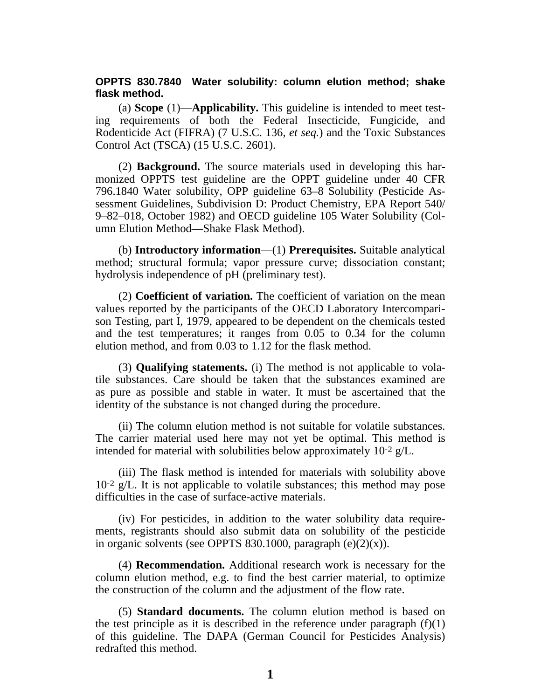## **OPPTS 830.7840 Water solubility: column elution method; shake flask method.**

(a) **Scope** (1)—**Applicability.** This guideline is intended to meet testing requirements of both the Federal Insecticide, Fungicide, and Rodenticide Act (FIFRA) (7 U.S.C. 136, *et seq.*) and the Toxic Substances Control Act (TSCA) (15 U.S.C. 2601).

(2) **Background.** The source materials used in developing this harmonized OPPTS test guideline are the OPPT guideline under 40 CFR 796.1840 Water solubility, OPP guideline 63–8 Solubility (Pesticide Assessment Guidelines, Subdivision D: Product Chemistry, EPA Report 540/ 9–82–018, October 1982) and OECD guideline 105 Water Solubility (Column Elution Method—Shake Flask Method).

(b) **Introductory information**—(1) **Prerequisites.** Suitable analytical method; structural formula; vapor pressure curve; dissociation constant; hydrolysis independence of pH (preliminary test).

(2) **Coefficient of variation.** The coefficient of variation on the mean values reported by the participants of the OECD Laboratory Intercomparison Testing, part I, 1979, appeared to be dependent on the chemicals tested and the test temperatures; it ranges from 0.05 to 0.34 for the column elution method, and from 0.03 to 1.12 for the flask method.

(3) **Qualifying statements.** (i) The method is not applicable to volatile substances. Care should be taken that the substances examined are as pure as possible and stable in water. It must be ascertained that the identity of the substance is not changed during the procedure.

(ii) The column elution method is not suitable for volatile substances. The carrier material used here may not yet be optimal. This method is intended for material with solubilities below approximately 10-2 g/L.

(iii) The flask method is intended for materials with solubility above  $10^{-2}$  g/L. It is not applicable to volatile substances; this method may pose difficulties in the case of surface-active materials.

(iv) For pesticides, in addition to the water solubility data requirements, registrants should also submit data on solubility of the pesticide in organic solvents (see OPPTS 830.1000, paragraph  $(e)(2)(x)$ ).

(4) **Recommendation.** Additional research work is necessary for the column elution method, e.g. to find the best carrier material, to optimize the construction of the column and the adjustment of the flow rate.

(5) **Standard documents.** The column elution method is based on the test principle as it is described in the reference under paragraph  $(f)(1)$ of this guideline. The DAPA (German Council for Pesticides Analysis) redrafted this method.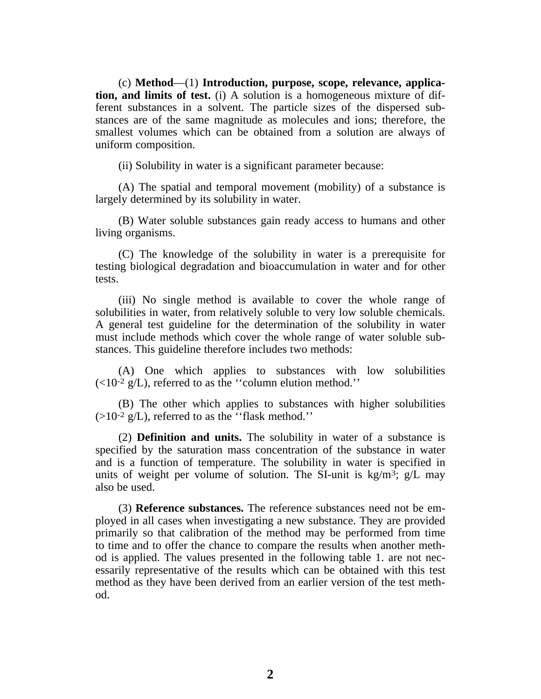(c) **Method**—(1) **Introduction, purpose, scope, relevance, application, and limits of test.** (i) A solution is a homogeneous mixture of different substances in a solvent. The particle sizes of the dispersed substances are of the same magnitude as molecules and ions; therefore, the smallest volumes which can be obtained from a solution are always of uniform composition.

(ii) Solubility in water is a significant parameter because:

(A) The spatial and temporal movement (mobility) of a substance is largely determined by its solubility in water.

(B) Water soluble substances gain ready access to humans and other living organisms.

(C) The knowledge of the solubility in water is a prerequisite for testing biological degradation and bioaccumulation in water and for other tests.

(iii) No single method is available to cover the whole range of solubilities in water, from relatively soluble to very low soluble chemicals. A general test guideline for the determination of the solubility in water must include methods which cover the whole range of water soluble substances. This guideline therefore includes two methods:

(A) One which applies to substances with low solubilities  $\left(\langle 10^{-2} \text{ g/L}\right)$ , referred to as the "column elution method."

(B) The other which applies to substances with higher solubilities  $(>10^{-2}$  g/L), referred to as the "flask method."

(2) **Definition and units.** The solubility in water of a substance is specified by the saturation mass concentration of the substance in water and is a function of temperature. The solubility in water is specified in units of weight per volume of solution. The SI-unit is  $kg/m^3$ ;  $g/L$  may also be used.

(3) **Reference substances.** The reference substances need not be employed in all cases when investigating a new substance. They are provided primarily so that calibration of the method may be performed from time to time and to offer the chance to compare the results when another method is applied. The values presented in the following table 1. are not necessarily representative of the results which can be obtained with this test method as they have been derived from an earlier version of the test method.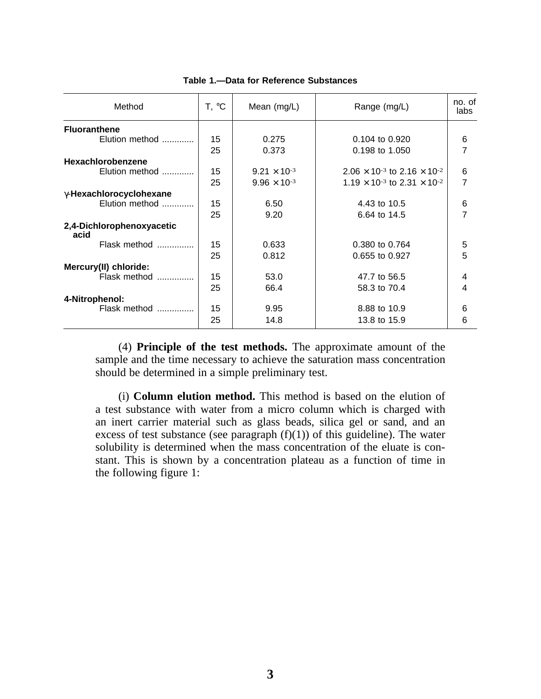| Method                            | T, °C | Mean (mg/L)           | Range (mg/L)                                            | no. of<br>labs |  |
|-----------------------------------|-------|-----------------------|---------------------------------------------------------|----------------|--|
| <b>Fluoranthene</b>               |       |                       |                                                         |                |  |
| Elution method                    | 15    | 0.275                 | 0.104 to 0.920                                          | 6              |  |
|                                   | 25    | 0.373                 | 0.198 to 1.050                                          | 7              |  |
| <b>Hexachlorobenzene</b>          |       |                       |                                                         |                |  |
| Elution method                    | 15    | $9.21 \times 10^{-3}$ | $2.06 \times 10^{-3}$ to 2.16 $\times$ 10 <sup>-2</sup> | 6              |  |
|                                   | 25    | $9.96 \times 10^{-3}$ | $1.19 \times 10^{-3}$ to 2.31 $\times$ 10 <sup>-2</sup> | 7              |  |
| y-Hexachlorocyclohexane           |       |                       |                                                         |                |  |
| Elution method                    | 15    | 6.50                  | 4.43 to 10.5                                            | 6              |  |
|                                   | 25    | 9.20                  | 6.64 to 14.5                                            | 7              |  |
| 2,4-Dichlorophenoxyacetic<br>acid |       |                       |                                                         |                |  |
| Flask method                      | 15    | 0.633                 | 0.380 to 0.764                                          | 5              |  |
|                                   | 25    | 0.812                 | 0.655 to 0.927                                          | 5              |  |
| Mercury(II) chloride:             |       |                       |                                                         |                |  |
| Flask method                      | 15    | 53.0                  | 47.7 to 56.5                                            | 4              |  |
|                                   | 25    | 66.4                  | 58.3 to 70.4                                            | 4              |  |
| 4-Nitrophenol:                    |       |                       |                                                         |                |  |
| Flask method                      | 15    | 9.95                  | 8.88 to 10.9                                            | 6              |  |
|                                   | 25    | 14.8                  | 13.8 to 15.9                                            | 6              |  |

## **Table 1.—Data for Reference Substances**

(4) **Principle of the test methods.** The approximate amount of the sample and the time necessary to achieve the saturation mass concentration should be determined in a simple preliminary test.

(i) **Column elution method.** This method is based on the elution of a test substance with water from a micro column which is charged with an inert carrier material such as glass beads, silica gel or sand, and an excess of test substance (see paragraph  $(f)(1)$ ) of this guideline). The water solubility is determined when the mass concentration of the eluate is constant. This is shown by a concentration plateau as a function of time in the following figure 1: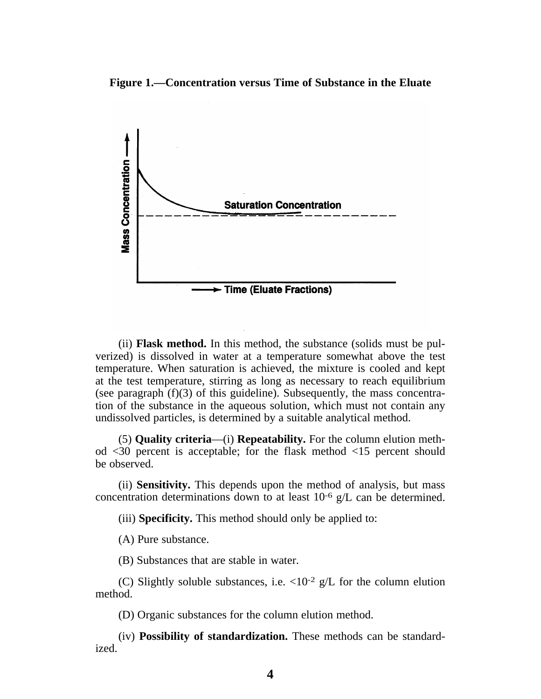**Figure 1.—Concentration versus Time of Substance in the Eluate**



(ii) **Flask method.** In this method, the substance (solids must be pulverized) is dissolved in water at a temperature somewhat above the test temperature. When saturation is achieved, the mixture is cooled and kept at the test temperature, stirring as long as necessary to reach equilibrium (see paragraph (f)(3) of this guideline). Subsequently, the mass concentration of the substance in the aqueous solution, which must not contain any undissolved particles, is determined by a suitable analytical method.

(5) **Quality criteria**—(i) **Repeatability.** For the column elution method <30 percent is acceptable; for the flask method <15 percent should be observed.

(ii) **Sensitivity.** This depends upon the method of analysis, but mass concentration determinations down to at least 10-6 g/L can be determined.

(iii) **Specificity.** This method should only be applied to:

(A) Pure substance.

(B) Substances that are stable in water.

(C) Slightly soluble substances, i.e.  $\langle 10^{-2} \text{ g/L} \rangle$  for the column elution method.

(D) Organic substances for the column elution method.

(iv) **Possibility of standardization.** These methods can be standardized.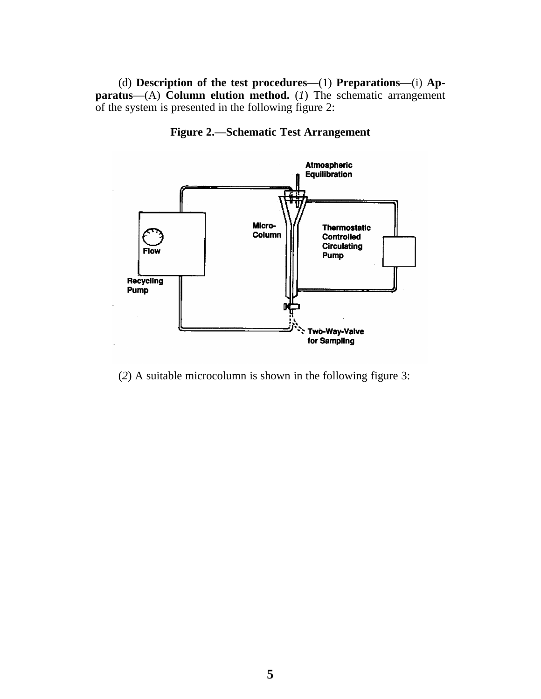(d) **Description of the test procedures**—(1) **Preparations**—(i) **Apparatus**—(A) **Column elution method.** (*1*) The schematic arrangement of the system is presented in the following figure 2:





(*2*) A suitable microcolumn is shown in the following figure 3: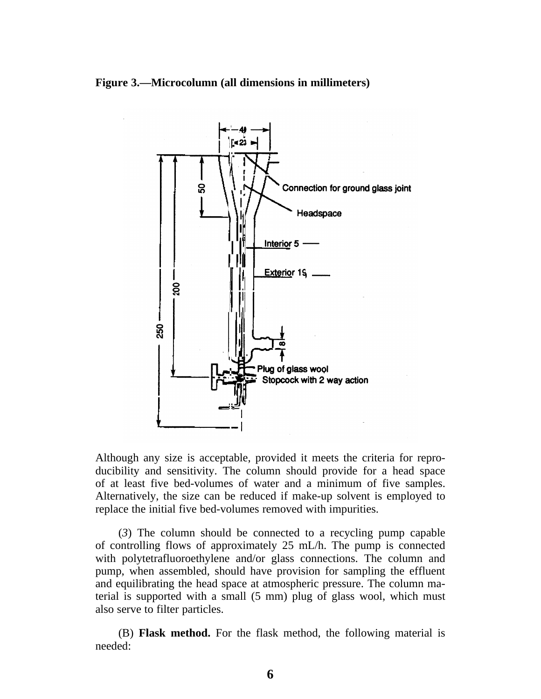



Although any size is acceptable, provided it meets the criteria for reproducibility and sensitivity. The column should provide for a head space of at least five bed-volumes of water and a minimum of five samples. Alternatively, the size can be reduced if make-up solvent is employed to replace the initial five bed-volumes removed with impurities.

(*3*) The column should be connected to a recycling pump capable of controlling flows of approximately 25 mL/h. The pump is connected with polytetrafluoroethylene and/or glass connections. The column and pump, when assembled, should have provision for sampling the effluent and equilibrating the head space at atmospheric pressure. The column material is supported with a small (5 mm) plug of glass wool, which must also serve to filter particles.

(B) **Flask method.** For the flask method, the following material is needed: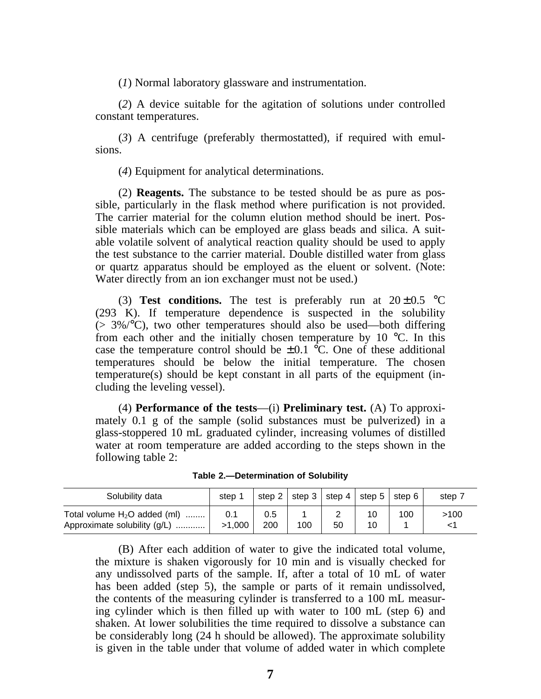(*1*) Normal laboratory glassware and instrumentation.

(*2*) A device suitable for the agitation of solutions under controlled constant temperatures.

(*3*) A centrifuge (preferably thermostatted), if required with emulsions.

(*4*) Equipment for analytical determinations.

(2) **Reagents.** The substance to be tested should be as pure as possible, particularly in the flask method where purification is not provided. The carrier material for the column elution method should be inert. Possible materials which can be employed are glass beads and silica. A suitable volatile solvent of analytical reaction quality should be used to apply the test substance to the carrier material. Double distilled water from glass or quartz apparatus should be employed as the eluent or solvent. (Note: Water directly from an ion exchanger must not be used.)

(3) **Test conditions.** The test is preferably run at  $20 \pm 0.5$  °C (293 K). If temperature dependence is suspected in the solubility  $(> 3\%/°C)$ , two other temperatures should also be used—both differing from each other and the initially chosen temperature by 10  $\degree$ C. In this case the temperature control should be  $\pm 0.1$  °C. One of these additional temperatures should be below the initial temperature. The chosen temperature(s) should be kept constant in all parts of the equipment (including the leveling vessel).

(4) **Performance of the tests**—(i) **Preliminary test.** (A) To approximately 0.1 g of the sample (solid substances must be pulverized) in a glass-stoppered 10 mL graduated cylinder, increasing volumes of distilled water at room temperature are added according to the steps shown in the following table 2:

| <b>Table 2.-Determination of Solubility</b> |
|---------------------------------------------|
|---------------------------------------------|

| Solubility data                                                | step          |            | step 2   step 3   step 4 |    | l step 5∣step 6 |     | step, |
|----------------------------------------------------------------|---------------|------------|--------------------------|----|-----------------|-----|-------|
| Total volume $H_2O$ added (ml)<br>Approximate solubility (g/L) | 0.1<br>>1.000 | 0.5<br>200 | 100                      | 50 |                 | 100 | >100  |

(B) After each addition of water to give the indicated total volume, the mixture is shaken vigorously for 10 min and is visually checked for any undissolved parts of the sample. If, after a total of 10 mL of water has been added (step 5), the sample or parts of it remain undissolved, the contents of the measuring cylinder is transferred to a 100 mL measuring cylinder which is then filled up with water to 100 mL (step 6) and shaken. At lower solubilities the time required to dissolve a substance can be considerably long (24 h should be allowed). The approximate solubility is given in the table under that volume of added water in which complete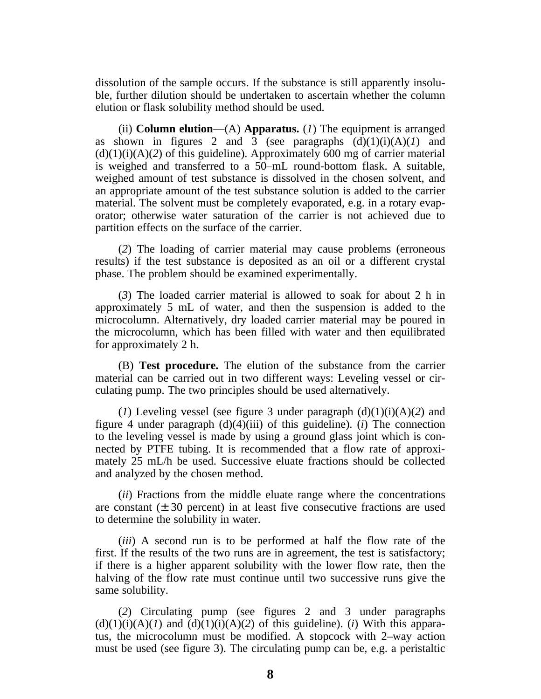dissolution of the sample occurs. If the substance is still apparently insoluble, further dilution should be undertaken to ascertain whether the column elution or flask solubility method should be used.

(ii) **Column elution**—(A) **Apparatus.** (*1*) The equipment is arranged as shown in figures 2 and 3 (see paragraphs  $(d)(1)(i)(A)(1)$  and  $(d)(1)(i)(A)(2)$  of this guideline). Approximately 600 mg of carrier material is weighed and transferred to a 50–mL round-bottom flask. A suitable, weighed amount of test substance is dissolved in the chosen solvent, and an appropriate amount of the test substance solution is added to the carrier material. The solvent must be completely evaporated, e.g. in a rotary evaporator; otherwise water saturation of the carrier is not achieved due to partition effects on the surface of the carrier.

(*2*) The loading of carrier material may cause problems (erroneous results) if the test substance is deposited as an oil or a different crystal phase. The problem should be examined experimentally.

(*3*) The loaded carrier material is allowed to soak for about 2 h in approximately 5 mL of water, and then the suspension is added to the microcolumn. Alternatively, dry loaded carrier material may be poured in the microcolumn, which has been filled with water and then equilibrated for approximately 2 h.

(B) **Test procedure.** The elution of the substance from the carrier material can be carried out in two different ways: Leveling vessel or circulating pump. The two principles should be used alternatively.

(*1*) Leveling vessel (see figure 3 under paragraph  $(d)(1)(i)(A)(2)$  and figure 4 under paragraph (d)(4)(iii) of this guideline). (*i*) The connection to the leveling vessel is made by using a ground glass joint which is connected by PTFE tubing. It is recommended that a flow rate of approximately 25 mL/h be used. Successive eluate fractions should be collected and analyzed by the chosen method.

(*ii*) Fractions from the middle eluate range where the concentrations are constant  $(\pm 30$  percent) in at least five consecutive fractions are used to determine the solubility in water.

(*iii*) A second run is to be performed at half the flow rate of the first. If the results of the two runs are in agreement, the test is satisfactory; if there is a higher apparent solubility with the lower flow rate, then the halving of the flow rate must continue until two successive runs give the same solubility.

(*2*) Circulating pump (see figures 2 and 3 under paragraphs  $(d)(1)(i)(A)(I)$  and  $(d)(1)(i)(A)(2)$  of this guideline). (*i*) With this apparatus, the microcolumn must be modified. A stopcock with 2–way action must be used (see figure 3). The circulating pump can be, e.g. a peristaltic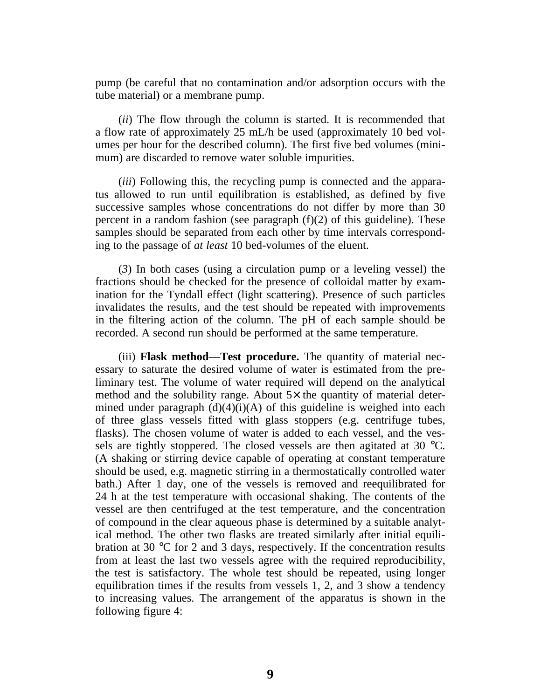pump (be careful that no contamination and/or adsorption occurs with the tube material) or a membrane pump.

(*ii*) The flow through the column is started. It is recommended that a flow rate of approximately 25 mL/h be used (approximately 10 bed volumes per hour for the described column). The first five bed volumes (minimum) are discarded to remove water soluble impurities.

(*iii*) Following this, the recycling pump is connected and the apparatus allowed to run until equilibration is established, as defined by five successive samples whose concentrations do not differ by more than 30 percent in a random fashion (see paragraph (f)(2) of this guideline). These samples should be separated from each other by time intervals corresponding to the passage of *at least* 10 bed-volumes of the eluent.

(*3*) In both cases (using a circulation pump or a leveling vessel) the fractions should be checked for the presence of colloidal matter by examination for the Tyndall effect (light scattering). Presence of such particles invalidates the results, and the test should be repeated with improvements in the filtering action of the column. The pH of each sample should be recorded. A second run should be performed at the same temperature.

(iii) **Flask method**—**Test procedure.** The quantity of material necessary to saturate the desired volume of water is estimated from the preliminary test. The volume of water required will depend on the analytical method and the solubility range. About  $5 \times$  the quantity of material determined under paragraph  $(d)(4)(i)(A)$  of this guideline is weighed into each of three glass vessels fitted with glass stoppers (e.g. centrifuge tubes, flasks). The chosen volume of water is added to each vessel, and the vessels are tightly stoppered. The closed vessels are then agitated at 30 °C. (A shaking or stirring device capable of operating at constant temperature should be used, e.g. magnetic stirring in a thermostatically controlled water bath.) After 1 day, one of the vessels is removed and reequilibrated for 24 h at the test temperature with occasional shaking. The contents of the vessel are then centrifuged at the test temperature, and the concentration of compound in the clear aqueous phase is determined by a suitable analytical method. The other two flasks are treated similarly after initial equilibration at 30 °C for 2 and 3 days, respectively. If the concentration results from at least the last two vessels agree with the required reproducibility, the test is satisfactory. The whole test should be repeated, using longer equilibration times if the results from vessels 1, 2, and 3 show a tendency to increasing values. The arrangement of the apparatus is shown in the following figure 4: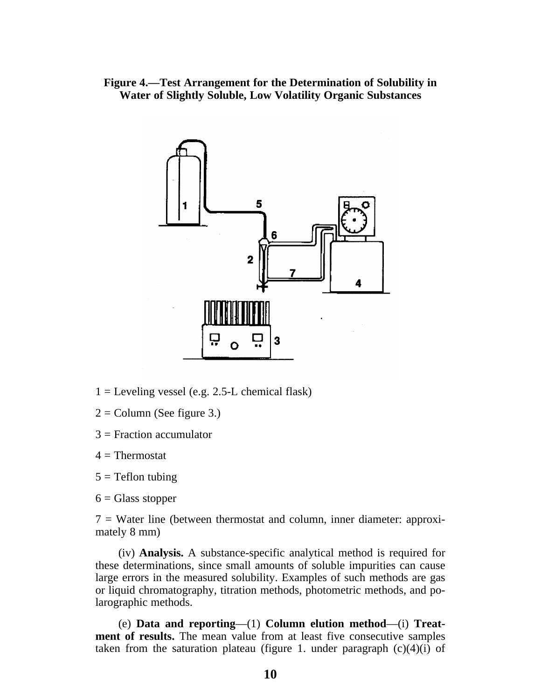**Figure 4.—Test Arrangement for the Determination of Solubility in Water of Slightly Soluble, Low Volatility Organic Substances**



- $1 =$  Leveling vessel (e.g. 2.5-L chemical flask)
- $2 =$  Column (See figure 3.)
- 3 = Fraction accumulator
- $4 =$ Thermostat
- $5 =$  Teflon tubing
- $6 =$  Glass stopper

 $7 =$  Water line (between thermostat and column, inner diameter: approximately 8 mm)

(iv) **Analysis.** A substance-specific analytical method is required for these determinations, since small amounts of soluble impurities can cause large errors in the measured solubility. Examples of such methods are gas or liquid chromatography, titration methods, photometric methods, and polarographic methods.

(e) **Data and reporting**—(1) **Column elution method**—(i) **Treatment of results.** The mean value from at least five consecutive samples taken from the saturation plateau (figure 1. under paragraph  $(c)(4)(i)$  of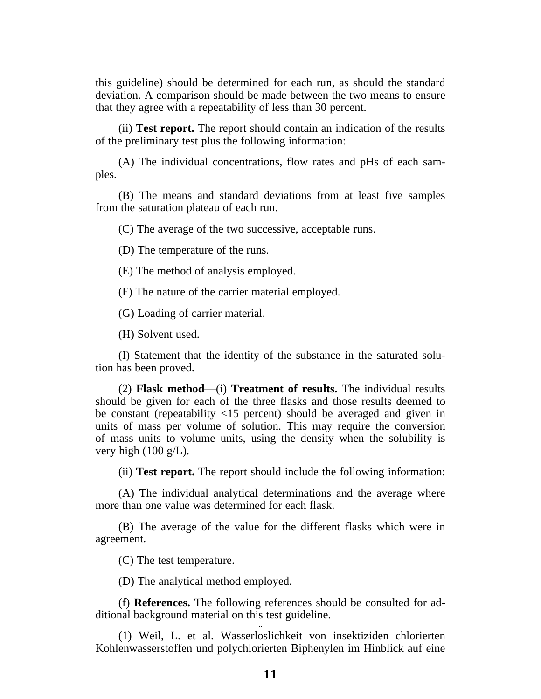this guideline) should be determined for each run, as should the standard deviation. A comparison should be made between the two means to ensure that they agree with a repeatability of less than 30 percent.

(ii) **Test report.** The report should contain an indication of the results of the preliminary test plus the following information:

(A) The individual concentrations, flow rates and pHs of each samples.

(B) The means and standard deviations from at least five samples from the saturation plateau of each run.

(C) The average of the two successive, acceptable runs.

(D) The temperature of the runs.

(E) The method of analysis employed.

(F) The nature of the carrier material employed.

(G) Loading of carrier material.

(H) Solvent used.

(I) Statement that the identity of the substance in the saturated solution has been proved.

(2) **Flask method**—(i) **Treatment of results.** The individual results should be given for each of the three flasks and those results deemed to be constant (repeatability <15 percent) should be averaged and given in units of mass per volume of solution. This may require the conversion of mass units to volume units, using the density when the solubility is very high  $(100 \text{ g/L})$ .

(ii) **Test report.** The report should include the following information:

(A) The individual analytical determinations and the average where more than one value was determined for each flask.

(B) The average of the value for the different flasks which were in agreement.

(C) The test temperature.

(D) The analytical method employed.

(f) **References.** The following references should be consulted for additional background material on this test guideline.

(1) Weil, L. et al. Wasserloslichkeit von insektiziden chlorierten Kohlenwasserstoffen und polychlorierten Biphenylen im Hinblick auf eine